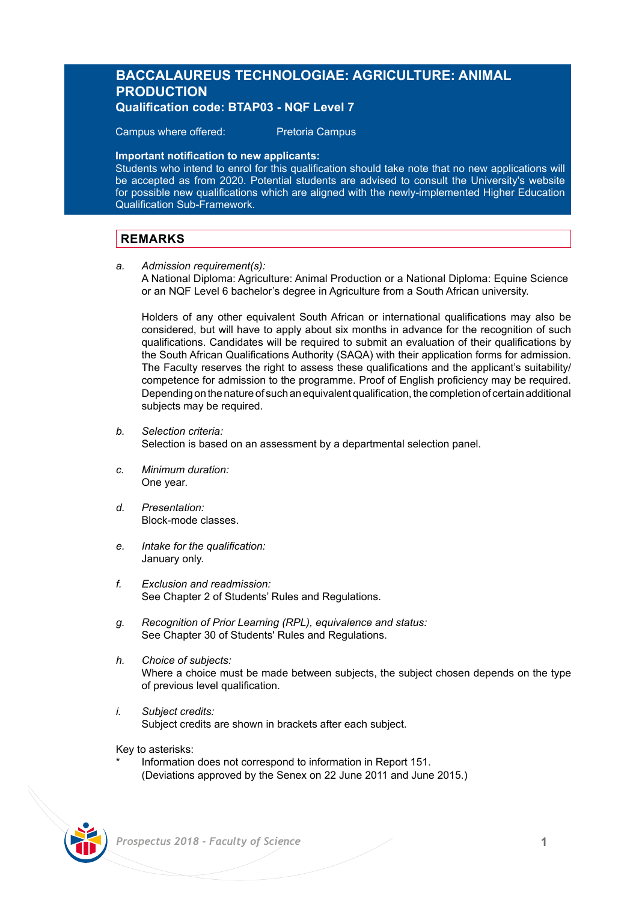# **BACCALAUREUS TECHNOLOGIAE: AGRICULTURE: ANIMAL PRODUCTION Qualification code: BTAP03 - NQF Level 7**

Campus where offered: Pretoria Campus

### **Important notification to new applicants:**

Students who intend to enrol for this qualification should take note that no new applications will be accepted as from 2020. Potential students are advised to consult the University's website for possible new qualifications which are aligned with the newly-implemented Higher Education Qualification Sub-Framework.

# **REMARKS**

*a. Admission requirement(s):* 

A National Diploma: Agriculture: Animal Production or a National Diploma: Equine Science or an NQF Level 6 bachelor's degree in Agriculture from a South African university.

Holders of any other equivalent South African or international qualifications may also be considered, but will have to apply about six months in advance for the recognition of such qualifications. Candidates will be required to submit an evaluation of their qualifications by the South African Qualifications Authority (SAQA) with their application forms for admission. The Faculty reserves the right to assess these qualifications and the applicant's suitability/ competence for admission to the programme. Proof of English proficiency may be required. Depending on the nature of such an equivalent qualification, the completion of certain additional subjects may be required.

- *b. Selection criteria:* Selection is based on an assessment by a departmental selection panel.
- *c. Minimum duration:* One year.
- *d. Presentation:* Block-mode classes.
- *e. Intake for the qualification:* January only.
- *f. Exclusion and readmission:* See Chapter 2 of Students' Rules and Regulations.
- *g. Recognition of Prior Learning (RPL), equivalence and status:* See Chapter 30 of Students' Rules and Regulations.
- *h. Choice of subjects:* Where a choice must be made between subjects, the subject chosen depends on the type of previous level qualification.
- *i. Subject credits:* Subject credits are shown in brackets after each subject.

Key to asterisks:

Information does not correspond to information in Report 151. (Deviations approved by the Senex on 22 June 2011 and June 2015.)

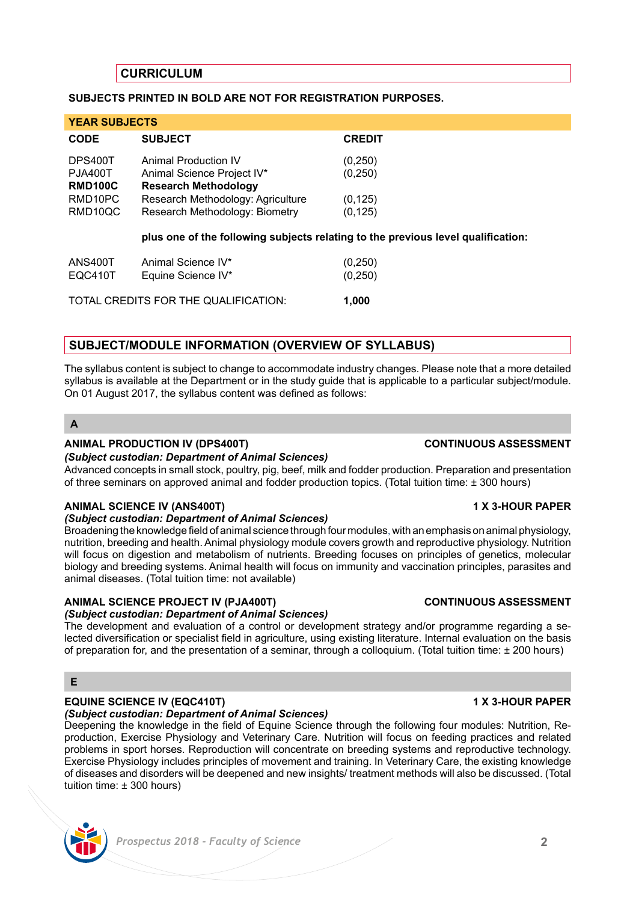# **CURRICULUM**

### **SUBJECTS PRINTED IN BOLD ARE NOT FOR REGISTRATION PURPOSES.**

| <b>YEAR SUBJECTS</b>                                   |                                                                                                                        |                                  |
|--------------------------------------------------------|------------------------------------------------------------------------------------------------------------------------|----------------------------------|
| <b>CODE</b>                                            | <b>SUBJECT</b>                                                                                                         | <b>CREDIT</b>                    |
| DPS400T<br><b>PJA400T</b><br><b>RMD100C</b><br>RMD10PC | Animal Production IV<br>Animal Science Project IV*<br><b>Research Methodology</b><br>Research Methodology: Agriculture | (0, 250)<br>(0, 250)<br>(0, 125) |
| RMD10QC                                                | Research Methodology: Biometry<br>plus one of the following subjects relating to the previous level qualification:     | (0, 125)                         |
| ANS400T<br>EQC410T                                     | Animal Science IV*<br>Equine Science IV*                                                                               | (0, 250)<br>(0, 250)             |
| TOTAL CREDITS FOR THE QUALIFICATION:                   |                                                                                                                        | 1.000                            |

## **SUBJECT/MODULE INFORMATION (OVERVIEW OF SYLLABUS)**

The syllabus content is subject to change to accommodate industry changes. Please note that a more detailed syllabus is available at the Department or in the study guide that is applicable to a particular subject/module. On 01 August 2017, the syllabus content was defined as follows:

## **A**

### **ANIMAL PRODUCTION IV (DPS400T) CONTINUOUS ASSESSMENT**

### *(Subject custodian: Department of Animal Sciences)*

Advanced concepts in small stock, poultry, pig, beef, milk and fodder production. Preparation and presentation of three seminars on approved animal and fodder production topics. (Total tuition time: ± 300 hours)

### **ANIMAL SCIENCE IV (ANS400T) 1 X 3-HOUR PAPER**

# *(Subject custodian: Department of Animal Sciences)*

Broadening the knowledge field of animal science through four modules, with an emphasis on animal physiology, nutrition, breeding and health. Animal physiology module covers growth and reproductive physiology. Nutrition will focus on digestion and metabolism of nutrients. Breeding focuses on principles of genetics, molecular biology and breeding systems. Animal health will focus on immunity and vaccination principles, parasites and animal diseases. (Total tuition time: not available)

### **ANIMAL SCIENCE PROJECT IV (PJA400T) CONTINUOUS ASSESSMENT**

## *(Subject custodian: Department of Animal Sciences)*

The development and evaluation of a control or development strategy and/or programme regarding a selected diversification or specialist field in agriculture, using existing literature. Internal evaluation on the basis of preparation for, and the presentation of a seminar, through a colloquium. (Total tuition time: ± 200 hours)

# **E**

## **EQUINE SCIENCE IV (EQC410T) 1 X 3-HOUR PAPER**

## *(Subject custodian: Department of Animal Sciences)*

Deepening the knowledge in the field of Equine Science through the following four modules: Nutrition, Reproduction, Exercise Physiology and Veterinary Care. Nutrition will focus on feeding practices and related problems in sport horses. Reproduction will concentrate on breeding systems and reproductive technology. Exercise Physiology includes principles of movement and training. In Veterinary Care, the existing knowledge of diseases and disorders will be deepened and new insights/ treatment methods will also be discussed. (Total tuition time: ± 300 hours)